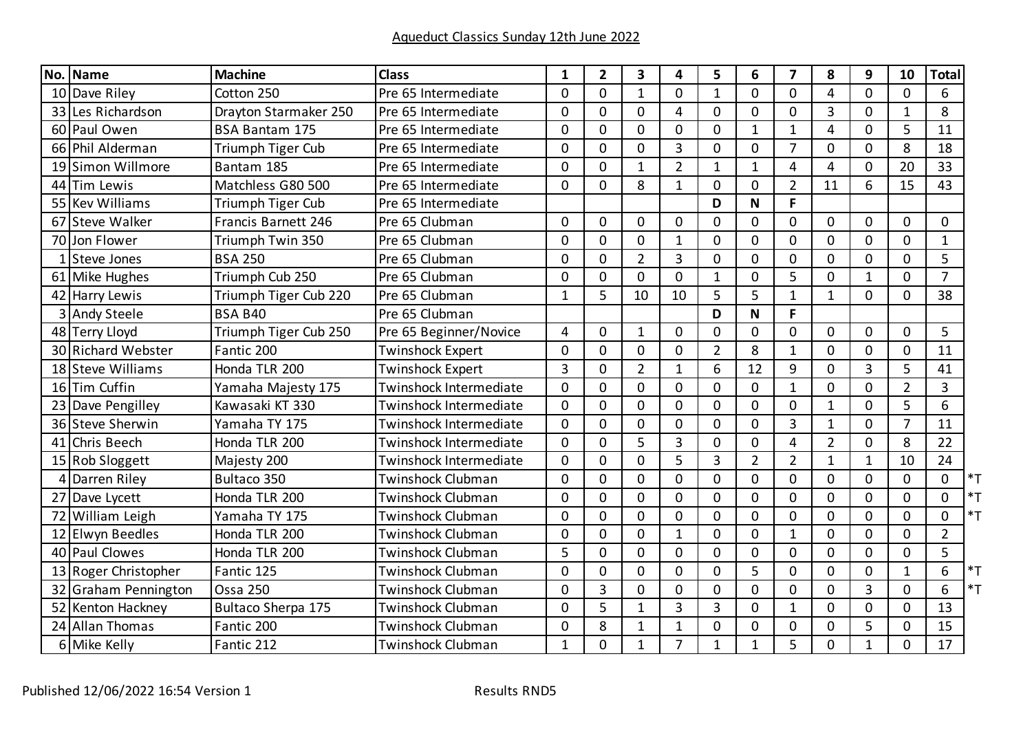|    | No. Name                 | <b>Machine</b>        | <b>Class</b>             | $\mathbf{1}$   | $\overline{2}$ | 3              | 4              | 5              | 6              | $\overline{ }$ | 8              | 9              | 10             | <b>Total</b>   |
|----|--------------------------|-----------------------|--------------------------|----------------|----------------|----------------|----------------|----------------|----------------|----------------|----------------|----------------|----------------|----------------|
|    | 10 Dave Riley            | Cotton 250            | Pre 65 Intermediate      | $\Omega$       | $\Omega$       | $\mathbf{1}$   | $\mathbf 0$    | $\mathbf{1}$   | $\mathbf 0$    | $\mathbf 0$    | 4              | 0              | $\mathbf 0$    | 6              |
| 33 | Les Richardson           | Drayton Starmaker 250 | Pre 65 Intermediate      | $\mathbf 0$    | $\mathbf 0$    | $\mathbf 0$    | $\overline{4}$ | $\mathbf 0$    | $\mathbf 0$    | 0              | $\overline{3}$ | 0              | $\mathbf{1}$   | 8              |
|    | 60 Paul Owen             | <b>BSA Bantam 175</b> | Pre 65 Intermediate      | $\mathbf 0$    | $\mathbf 0$    | $\mathbf 0$    | $\mathbf 0$    | 0              | $\mathbf 1$    | $\mathbf{1}$   | 4              | 0              | 5              | 11             |
| 66 | Phil Alderman            | Triumph Tiger Cub     | Pre 65 Intermediate      | $\Omega$       | $\Omega$       | $\Omega$       | $\overline{3}$ | $\Omega$       | $\mathbf 0$    | $\overline{7}$ | $\mathbf{0}$   | $\overline{0}$ | 8              | 18             |
| 19 | Simon Willmore           | Bantam 185            | Pre 65 Intermediate      | $\Omega$       | $\mathbf{0}$   | $\mathbf 1$    | $\overline{2}$ | $\mathbf{1}$   | $\mathbf{1}$   | 4              | 4              | 0              | 20             | 33             |
| 44 | Tim Lewis                | Matchless G80 500     | Pre 65 Intermediate      | $\Omega$       | $\mathbf{0}$   | 8              | $\mathbf{1}$   | 0              | $\mathbf 0$    | $\overline{2}$ | 11             | 6              | 15             | 43             |
| 55 | <b>Kev Williams</b>      | Triumph Tiger Cub     | Pre 65 Intermediate      |                |                |                |                | D              | $\mathbf N$    | F              |                |                |                |                |
| 67 | Steve Walker             | Francis Barnett 246   | Pre 65 Clubman           | $\mathbf 0$    | $\mathbf 0$    | $\mathbf 0$    | $\mathbf 0$    | $\mathbf 0$    | $\mathbf 0$    | $\mathbf 0$    | 0              | 0              | 0              | 0              |
|    | 70 Jon Flower            | Triumph Twin 350      | Pre 65 Clubman           | $\Omega$       | $\mathbf{0}$   | $\Omega$       | $\mathbf{1}$   | $\Omega$       | $\Omega$       | 0              | 0              | 0              | 0              | $\mathbf{1}$   |
|    | 1 Steve Jones            | <b>BSA 250</b>        | Pre 65 Clubman           | $\Omega$       | $\Omega$       | $\overline{2}$ | 3              | $\Omega$       | $\Omega$       | $\overline{0}$ | $\Omega$       | $\overline{0}$ | $\overline{0}$ | 5              |
|    | 61 Mike Hughes           | Triumph Cub 250       | Pre 65 Clubman           | $\mathbf 0$    | $\mathbf{0}$   | $\mathbf 0$    | $\mathbf 0$    | 1              | $\mathbf 0$    | 5              | $\Omega$       | 1              | 0              | $\overline{7}$ |
|    | 42 Harry Lewis           | Triumph Tiger Cub 220 | Pre 65 Clubman           | $\mathbf{1}$   | 5              | 10             | 10             | 5              | 5              | $\mathbf{1}$   | $\mathbf{1}$   | $\overline{0}$ | $\Omega$       | 38             |
|    | 3 Andy Steele            | <b>BSA B40</b>        | Pre 65 Clubman           |                |                |                |                | D              | $\mathbf N$    | F              |                |                |                |                |
|    | 48 Terry Lloyd           | Triumph Tiger Cub 250 | Pre 65 Beginner/Novice   | 4              | $\mathbf 0$    | $\mathbf 1$    | $\mathbf 0$    | $\mathbf 0$    | $\mathbf 0$    | $\mathbf 0$    | 0              | $\mathbf 0$    | 0              | 5              |
|    | 30 Richard Webster       | Fantic 200            | <b>Twinshock Expert</b>  | $\Omega$       | $\mathbf{0}$   | $\Omega$       | $\Omega$       | $\overline{2}$ | 8              | $\mathbf{1}$   | $\Omega$       | 0              | 0              | 11             |
|    | 18 Steve Williams        | Honda TLR 200         | <b>Twinshock Expert</b>  | $\overline{3}$ | $\mathbf 0$    | $\overline{2}$ | $\mathbf{1}$   | 6              | 12             | 9              | $\Omega$       | $\overline{3}$ | 5              | 41             |
|    | 16 Tim Cuffin            | Yamaha Majesty 175    | Twinshock Intermediate   | $\Omega$       | $\mathbf{0}$   | $\Omega$       | $\mathbf{0}$   | $\mathbf 0$    | $\mathbf 0$    | $\mathbf{1}$   | $\Omega$       | 0              | $\overline{2}$ | $\overline{3}$ |
|    | Dave Pengilley           | Kawasaki KT 330       | Twinshock Intermediate   | $\Omega$       | $\Omega$       | $\Omega$       | $\Omega$       | 0              | $\mathbf 0$    | 0              | $\mathbf{1}$   | $\overline{0}$ | 5              | 6              |
|    | 36 Steve Sherwin         | Yamaha TY 175         | Twinshock Intermediate   | $\mathbf 0$    | $\mathbf 0$    | $\overline{0}$ | $\mathbf 0$    | $\mathbf 0$    | $\overline{0}$ | $\overline{3}$ | $\mathbf{1}$   | 0              | $\overline{7}$ | 11             |
|    | 41 Chris Beech           | Honda TLR 200         | Twinshock Intermediate   | $\mathbf 0$    | $\mathbf 0$    | 5              | 3              | $\mathbf 0$    | $\mathbf 0$    | 4              | $\overline{2}$ | 0              | 8              | 22             |
|    | 15 Rob Sloggett          | Majesty 200           | Twinshock Intermediate   | $\Omega$       | $\mathbf{0}$   | $\Omega$       | 5              | 3              | $\overline{2}$ | $\overline{2}$ | $\mathbf{1}$   | 1              | 10             | 24             |
| 4  | Darren Riley             | Bultaco 350           | Twinshock Clubman        | $\Omega$       | $\Omega$       | $\overline{0}$ | $\mathbf 0$    | 0              | $\mathbf 0$    | 0              | $\Omega$       | $\overline{0}$ | $\overline{0}$ | 0<br>$*$ T     |
| 27 | Dave Lycett              | Honda TLR 200         | Twinshock Clubman        | $\Omega$       | $\mathbf{0}$   | $\mathbf{0}$   | $\mathbf{0}$   | $\mathbf{0}$   | $\mathbf{0}$   | $\mathbf 0$    | $\Omega$       | $\Omega$       | 0              | $*$ T<br>0     |
| 72 | William Leigh            | Yamaha TY 175         | Twinshock Clubman        | $\Omega$       | $\Omega$       | $\Omega$       | $\mathbf 0$    | $\mathbf 0$    | $\Omega$       | 0              | $\mathbf{0}$   | $\overline{0}$ | $\overline{0}$ | $*$ T<br>0     |
| 12 | Elwyn Beedles            | Honda TLR 200         | Twinshock Clubman        | $\mathbf 0$    | $\mathbf 0$    | $\mathbf 0$    | $\mathbf{1}$   | $\mathbf 0$    | $\overline{0}$ | $\mathbf{1}$   | 0              | 0              | 0              | $\overline{2}$ |
| 40 | <b>Paul Clowes</b>       | Honda TLR 200         | Twinshock Clubman        | 5              | $\Omega$       | $\Omega$       | $\mathbf{0}$   | $\mathbf{0}$   | $\Omega$       | 0              | $\Omega$       | $\overline{0}$ | $\overline{0}$ | 5              |
| 13 | Roger Christopher        | Fantic 125            | Twinshock Clubman        | $\Omega$       | $\mathbf{0}$   | $\Omega$       | $\mathbf{0}$   | $\Omega$       | 5              | 0              | $\Omega$       | $\overline{0}$ | $\mathbf{1}$   | 6<br>$*$ T     |
| 32 | <b>Graham Pennington</b> | <b>Ossa 250</b>       | Twinshock Clubman        | $\mathbf 0$    | 3              | $\mathbf 0$    | $\mathbf 0$    | $\mathbf 0$    | $\mathbf 0$    | 0              | 0              | $\overline{3}$ | 0              | $*$ T<br>6     |
| 52 | <b>Kenton Hackney</b>    | Bultaco Sherpa 175    | <b>Twinshock Clubman</b> | $\Omega$       | 5              | $\mathbf{1}$   | 3              | 3              | $\mathbf 0$    | $\mathbf{1}$   | $\mathbf{0}$   | 0              | 0              | 13             |
|    | 24 Allan Thomas          | Fantic 200            | Twinshock Clubman        | $\mathbf 0$    | 8              | $\mathbf 1$    | $\mathbf{1}$   | 0              | $\mathbf 0$    | 0              | $\Omega$       | 5              | 0              | 15             |
| 6  | Mike Kelly               | Fantic 212            | Twinshock Clubman        | $\mathbf 1$    | $\mathbf 0$    | $\mathbf{1}$   | $\overline{7}$ | $\mathbf{1}$   | 1              | 5              | 0              | $\mathbf{1}$   | 0              | 17             |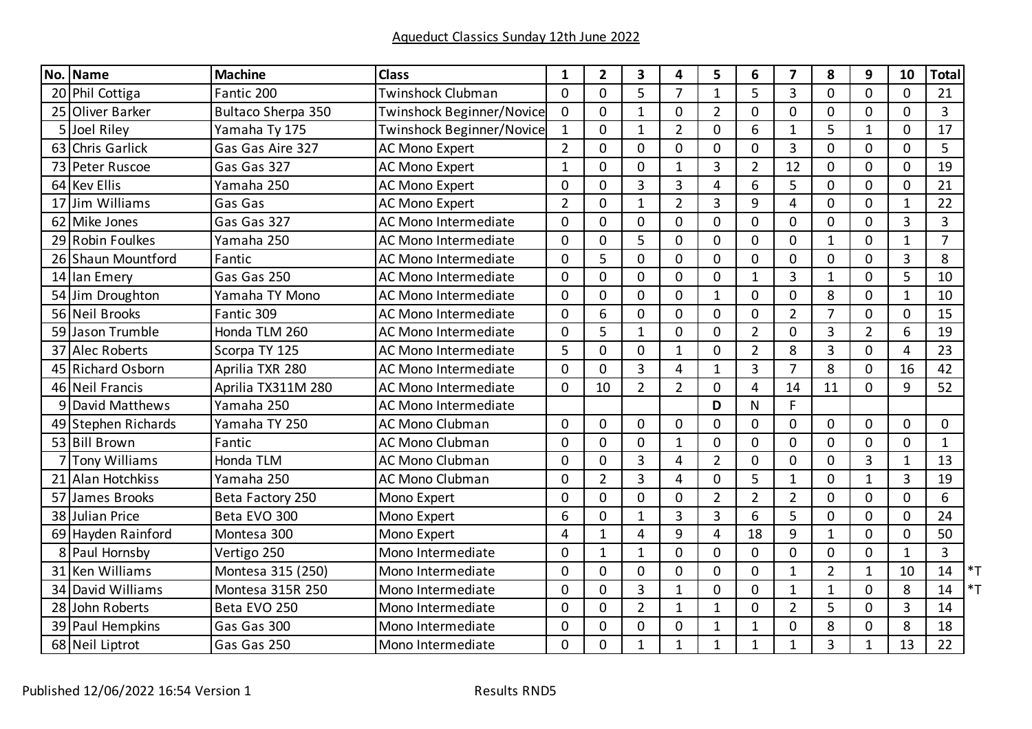|      | No. Name              | <b>Machine</b>            | <b>Class</b>                     | 1              | $\overline{2}$ | $\overline{\mathbf{3}}$ | 4              | 5              | 6              | 7              | 8              | 9              | 10             | <b>Total</b>          |
|------|-----------------------|---------------------------|----------------------------------|----------------|----------------|-------------------------|----------------|----------------|----------------|----------------|----------------|----------------|----------------|-----------------------|
|      | 20 Phil Cottiga       | Fantic 200                | <b>Twinshock Clubman</b>         | $\Omega$       | $\Omega$       | 5                       | $\overline{7}$ | $\mathbf{1}$   | 5              | 3              | $\mathbf{0}$   | $\overline{0}$ | $\overline{0}$ | 21                    |
| 25   | Oliver Barker         | <b>Bultaco Sherpa 350</b> | Twinshock Beginner/Novice        | $\mathbf 0$    | $\mathbf 0$    | $\mathbf{1}$            | $\mathbf 0$    | $\overline{2}$ | $\mathbf 0$    | 0              | $\Omega$       | 0              | 0              | $\overline{3}$        |
| 5    | Joel Riley            | Yamaha Ty 175             | <b>Twinshock Beginner/Novice</b> | $\mathbf{1}$   | $\mathbf 0$    | $\mathbf{1}$            | $\overline{2}$ | 0              | 6              | 1              | 5              | 1              | 0              | 17                    |
| 63   | <b>Chris Garlick</b>  | Gas Gas Aire 327          | <b>AC Mono Expert</b>            | $\overline{2}$ | $\Omega$       | $\Omega$                | $\Omega$       | $\Omega$       | $\Omega$       | $\overline{3}$ | $\Omega$       | $\overline{0}$ | $\overline{0}$ | 5                     |
| 73   | Peter Ruscoe          | Gas Gas 327               | <b>AC Mono Expert</b>            | $\mathbf{1}$   | $\mathbf{0}$   | $\mathbf{0}$            | $\mathbf{1}$   | 3              | $\overline{2}$ | 12             | $\Omega$       | 0              | 0              | 19                    |
|      | 64 Kev Ellis          | Yamaha 250                | <b>AC Mono Expert</b>            | $\mathbf 0$    | $\mathbf 0$    | $\overline{3}$          | $\overline{3}$ | 4              | 6              | 5              | 0              | 0              | 0              | 21                    |
| 17   | Jim Williams          | Gas Gas                   | <b>AC Mono Expert</b>            | $\overline{2}$ | $\mathbf 0$    | $\mathbf{1}$            | $\overline{2}$ | $\overline{3}$ | 9              | 4              | 0              | 0              | $\mathbf{1}$   | 22                    |
| 62   | Mike Jones            | Gas Gas 327               | AC Mono Intermediate             | $\Omega$       | $\mathbf{0}$   | $\Omega$                | $\Omega$       | $\mathbf{0}$   | $\Omega$       | 0              | 0              | 0              | 3              | $\overline{3}$        |
| 29   | Robin Foulkes         | Yamaha 250                | AC Mono Intermediate             | $\mathbf 0$    | $\mathbf{0}$   | 5                       | $\mathbf 0$    | 0              | $\mathbf 0$    | 0              | $\mathbf{1}$   | 0              | $\mathbf{1}$   | $\overline{7}$        |
|      | 26 Shaun Mountford    | Fantic                    | AC Mono Intermediate             | $\mathbf 0$    | 5              | $\mathbf 0$             | $\mathbf 0$    | $\mathbf 0$    | $\mathbf 0$    | $\mathbf 0$    | 0              | 0              | 3              | 8                     |
|      | 14 Ian Emery          | Gas Gas 250               | AC Mono Intermediate             | $\Omega$       | $\Omega$       | $\Omega$                | $\mathbf 0$    | $\mathbf 0$    | $\mathbf{1}$   | 3              | $\mathbf{1}$   | 0              | 5              | 10                    |
|      | 54 Jim Droughton      | Yamaha TY Mono            | AC Mono Intermediate             | $\mathbf 0$    | $\mathbf 0$    | $\mathbf 0$             | $\mathbf 0$    | $\mathbf{1}$   | $\mathbf 0$    | 0              | 8              | 0              | $\mathbf{1}$   | 10                    |
| 56   | <b>Neil Brooks</b>    | Fantic 309                | AC Mono Intermediate             | $\Omega$       | 6              | $\Omega$                | $\Omega$       | $\mathbf{0}$   | $\mathbf 0$    | $\overline{2}$ | $\overline{7}$ | $\overline{0}$ | $\overline{0}$ | 15                    |
| 59   | Jason Trumble         | Honda TLM 260             | AC Mono Intermediate             | $\mathbf 0$    | 5              | $\mathbf 1$             | $\mathbf 0$    | $\mathbf 0$    | $\overline{2}$ | 0              | 3              | $\overline{2}$ | 6              | 19                    |
| 37   | Alec Roberts          | Scorpa TY 125             | AC Mono Intermediate             | 5              | $\mathbf{0}$   | $\mathbf 0$             | $\mathbf{1}$   | 0              | $\overline{2}$ | 8              | $\overline{3}$ | 0              | 4              | 23                    |
| 45 I | <b>Richard Osborn</b> | Aprilia TXR 280           | AC Mono Intermediate             | $\overline{0}$ | $\Omega$       | $\overline{3}$          | 4              | $\mathbf{1}$   | 3              | $\overline{7}$ | 8              | 0              | 16             | 42                    |
|      | 46 Neil Francis       | Aprilia TX311M 280        | AC Mono Intermediate             | $\Omega$       | 10             | $\overline{2}$          | $\overline{2}$ | $\mathbf 0$    | 4              | 14             | 11             | 0              | 9              | 52                    |
| q    | David Matthews        | Yamaha 250                | AC Mono Intermediate             |                |                |                         |                | D              | N              | F.             |                |                |                |                       |
|      | 49 Stephen Richards   | Yamaha TY 250             | <b>AC Mono Clubman</b>           | $\Omega$       | $\mathbf{0}$   | $\mathbf{0}$            | $\mathbf 0$    | $\mathbf{0}$   | $\mathbf 0$    | $\overline{0}$ | $\Omega$       | 0              | 0              | 0                     |
|      | 53 Bill Brown         | Fantic                    | <b>AC Mono Clubman</b>           | $\Omega$       | 0              | 0                       | $\mathbf{1}$   | 0              | 0              | 0              | $\Omega$       | 0              | 0              | $\mathbf{1}$          |
|      | <b>Tony Williams</b>  | Honda TLM                 | <b>AC Mono Clubman</b>           | $\mathbf 0$    | $\mathbf 0$    | $\overline{3}$          | 4              | $\overline{2}$ | $\mathbf 0$    | 0              | 0              | 3              | $\mathbf{1}$   | 13                    |
|      | 21 Alan Hotchkiss     | Yamaha 250                | <b>AC Mono Clubman</b>           | $\mathbf 0$    | $\overline{2}$ | $\overline{3}$          | 4              | $\mathbf 0$    | 5              | $\mathbf{1}$   | 0              | $\mathbf{1}$   | 3              | 19                    |
| 57   | James Brooks          | Beta Factory 250          | Mono Expert                      | $\Omega$       | $\mathbf{0}$   | $\Omega$                | $\mathbf{0}$   | $\overline{2}$ | $\overline{2}$ | $\overline{2}$ | 0              | 0              | $\overline{0}$ | 6                     |
| 38   | Julian Price          | Beta EVO 300              | Mono Expert                      | 6              | $\Omega$       | $\mathbf{1}$            | $\overline{3}$ | $\overline{3}$ | 6              | 5              | 0              | $\overline{0}$ | 0              | 24                    |
| 69   | Hayden Rainford       | Montesa 300               | Mono Expert                      | 4              | $\mathbf{1}$   | 4                       | 9              | 4              | 18             | 9              | $\mathbf{1}$   | $\overline{0}$ | 0              | 50                    |
| 8    | Paul Hornsby          | Vertigo 250               | Mono Intermediate                | $\mathbf 0$    | $\mathbf{1}$   | $\mathbf{1}$            | $\mathbf 0$    | $\mathbf 0$    | $\mathbf 0$    | 0              | 0              | 0              | $\mathbf{1}$   | 3                     |
| 31   | <b>Ken Williams</b>   | Montesa 315 (250)         | Mono Intermediate                | $\Omega$       | $\Omega$       | $\mathbf 0$             | $\mathbf 0$    | 0              | $\mathbf 0$    | $\mathbf 1$    | $\overline{2}$ | $\mathbf{1}$   | 10             | 14<br>$\overline{\ }$ |
| 34   | David Williams        | Montesa 315R 250          | Mono Intermediate                | $\Omega$       | $\mathbf 0$    | $\overline{3}$          | $\mathbf{1}$   | $\Omega$       | $\mathbf 0$    | $\mathbf{1}$   | $\mathbf{1}$   | $\overline{0}$ | 8              | $*$ T<br>14           |
| 28   | John Roberts          | Beta EVO 250              | Mono Intermediate                | $\mathbf 0$    | $\mathbf{0}$   | $\overline{2}$          | 1              | 1              | $\mathbf 0$    | $\overline{2}$ | 5              | 0              | 3              | 14                    |
| 39   | Paul Hempkins         | Gas Gas 300               | Mono Intermediate                | $\Omega$       | $\Omega$       | $\Omega$                | 0              | $\mathbf{1}$   | $\mathbf{1}$   | 0              | 8              | 0              | 8              | 18                    |
|      | 68 Neil Liptrot       | Gas Gas 250               | Mono Intermediate                | $\mathbf 0$    | $\mathbf 0$    | $\mathbf{1}$            | $\mathbf{1}$   | $\mathbf{1}$   | $\mathbf{1}$   | $\mathbf{1}$   | $\overline{3}$ | $\mathbf{1}$   | 13             | 22                    |